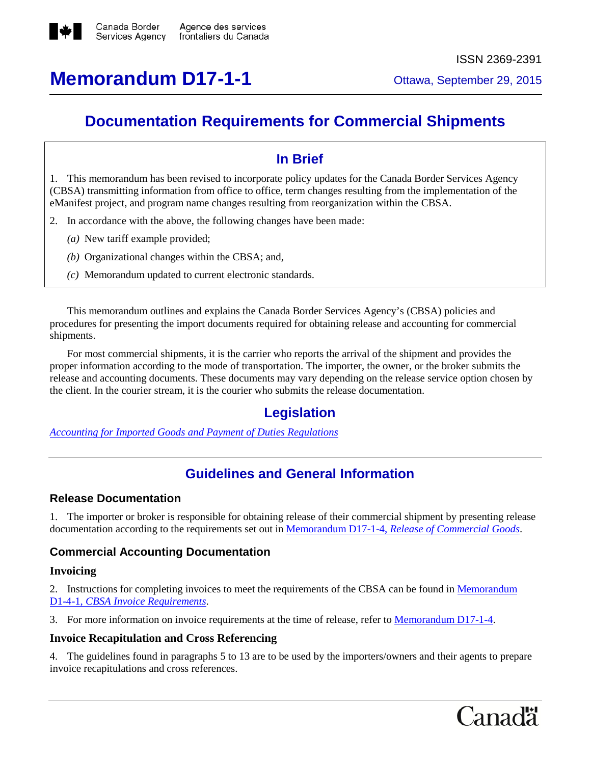

# **Memorandum D17-1-1** Ottawa, September 29, 2015

# **Documentation Requirements for Commercial Shipments**

# **In Brief**

1. This memorandum has been revised to incorporate policy updates for the Canada Border Services Agency (CBSA) transmitting information from office to office, term changes resulting from the implementation of the eManifest project, and program name changes resulting from reorganization within the CBSA.

- 2. In accordance with the above, the following changes have been made:
	- *(a)* New tariff example provided;
	- *(b)* Organizational changes within the CBSA; and,
	- *(c)* Memorandum updated to current electronic standards.

This memorandum outlines and explains the Canada Border Services Agency's (CBSA) policies and procedures for presenting the import documents required for obtaining release and accounting for commercial shipments.

For most commercial shipments, it is the carrier who reports the arrival of the shipment and provides the proper information according to the mode of transportation. The importer, the owner, or the broker submits the release and accounting documents. These documents may vary depending on the release service option chosen by the client. In the courier stream, it is the courier who submits the release documentation.

# **Legislation**

*Accounting for Imported Goods and Payment of Duties [Regulations](http://laws-lois.justice.gc.ca/eng/regulations/SOR-86-1062/FullText.html)*

# **Guidelines and General Information**

# **Release Documentation**

1. The importer or broker is responsible for obtaining release of their commercial shipment by presenting release documentation according to the requirements set out in [Memorandum](http://www.cbsa.gc.ca/publications/dm-md/d17/d17-1-4-eng.html) D17-1-4, *Release of Commercial Goods*.

# **Commercial Accounting Documentation**

# **Invoicing**

2. Instructions for completing invoices to meet the requirements of the CBSA can be found in [Memorandum](http://www.cbsa.gc.ca/publications/dm-md/d1/d1-4-1-eng.html) D1-4-1, *CBSA Invoice [Requirements](http://www.cbsa.gc.ca/publications/dm-md/d1/d1-4-1-eng.html)*.

3. For more information on invoice requirements at the time of release, refer to [Memorandum](http://www.cbsa.gc.ca/publications/dm-md/d17/d17-1-4-eng.html) D17-1-4.

# **Invoice Recapitulation and Cross Referencing**

4. The guidelines found in paragraphs 5 to 13 are to be used by the importers/owners and their agents to prepare invoice recapitulations and cross references.

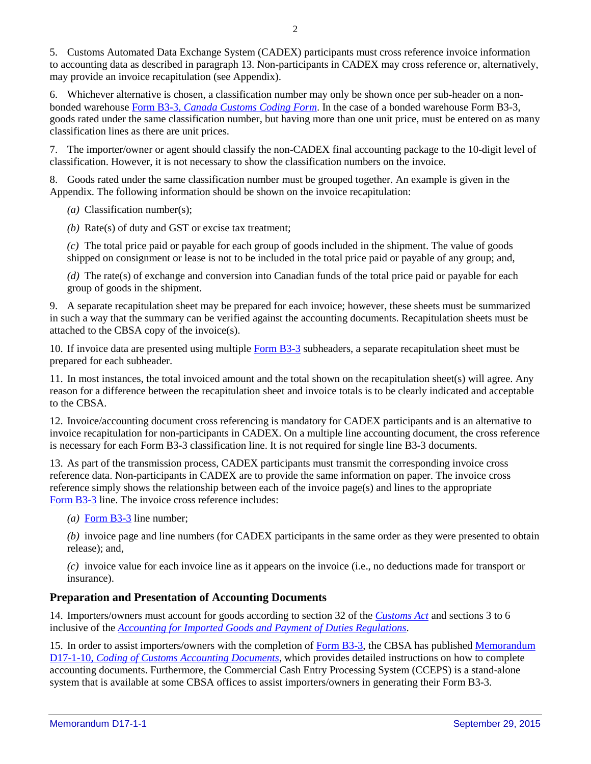5. Customs Automated Data Exchange System (CADEX) participants must cross reference invoice information to accounting data as described in paragraph 13. Non-participants in CADEX may cross reference or, alternatively, may provide an invoice recapitulation (see Appendix).

6. Whichever alternative is chosen, a classification number may only be shown once per sub-header on a nonbonded warehouse Form B3-3, *Canada [Customs](http://www.cbsa-asfc.gc.ca/publications/forms-formulaires/b3-3-eng.html) Coding Form*. In the case of a bonded warehouse Form B3-3, goods rated under the same classification number, but having more than one unit price, must be entered on as many classification lines as there are unit prices.

7. The importer/owner or agent should classify the non-CADEX final accounting package to the 10-digit level of classification. However, it is not necessary to show the classification numbers on the invoice.

8. Goods rated under the same classification number must be grouped together. An example is given in the Appendix. The following information should be shown on the invoice recapitulation:

*(a)* Classification number(s);

*(b)* Rate(s) of duty and GST or excise tax treatment;

*(c)* The total price paid or payable for each group of goods included in the shipment. The value of goods shipped on consignment or lease is not to be included in the total price paid or payable of any group; and,

*(d)* The rate(s) of exchange and conversion into Canadian funds of the total price paid or payable for each group of goods in the shipment.

9. A separate recapitulation sheet may be prepared for each invoice; however, these sheets must be summarized in such a way that the summary can be verified against the accounting documents. Recapitulation sheets must be attached to the CBSA copy of the invoice(s).

10. If invoice data are presented using multiple [Form](http://www.cbsa-asfc.gc.ca/publications/forms-formulaires/b3-3-eng.html) B3-3 subheaders, a separate recapitulation sheet must be prepared for each subheader.

11. In most instances, the total invoiced amount and the total shown on the recapitulation sheet(s) will agree. Any reason for a difference between the recapitulation sheet and invoice totals is to be clearly indicated and acceptable to the CBSA.

12. Invoice/accounting document cross referencing is mandatory for CADEX participants and is an alternative to invoice recapitulation for non-participants in CADEX. On a multiple line accounting document, the cross reference is necessary for each Form B3-3 classification line. It is not required for single line B3-3 documents.

13. As part of the transmission process, CADEX participants must transmit the corresponding invoice cross reference data. Non-participants in CADEX are to provide the same information on paper. The invoice cross reference simply shows the relationship between each of the invoice page(s) and lines to the appropriate [Form](http://www.cbsa-asfc.gc.ca/publications/forms-formulaires/b3-3-eng.html) B3-3 line. The invoice cross reference includes:

*(a)* [Form](http://www.cbsa-asfc.gc.ca/publications/forms-formulaires/b3-3-eng.html) B3-3 line number;

*(b)* invoice page and line numbers (for CADEX participants in the same order as they were presented to obtain release); and,

*(c)* invoice value for each invoice line as it appears on the invoice (i.e., no deductions made for transport or insurance).

#### **Preparation and Presentation of Accounting Documents**

14. Importers/owners must account for goods according to section 32 of the *[Customs](http://laws-lois.justice.gc.ca/eng/acts/C-52.6) Act* and sections 3 to 6 inclusive of the *Accounting for Imported Goods and Payment of Duties [Regulations](http://laws-lois.justice.gc.ca/eng/regulations/SOR-86-1062/page-2.html)*.

15. In order to assist importers/owners with the completion of Form [B3-3,](http://www.cbsa-asfc.gc.ca/publications/forms-formulaires/b3-3-eng.html) the CBSA has published [Memorandum](http://www.cbsa.gc.ca/publications/dm-md/d17/d17-1-10-eng.html) D17-1-10, *Coding of Customs [Accounting](http://www.cbsa.gc.ca/publications/dm-md/d17/d17-1-10-eng.html) Documents*, which provides detailed instructions on how to complete accounting documents. Furthermore, the Commercial Cash Entry Processing System (CCEPS) is a stand-alone system that is available at some CBSA offices to assist importers/owners in generating their Form B3-3.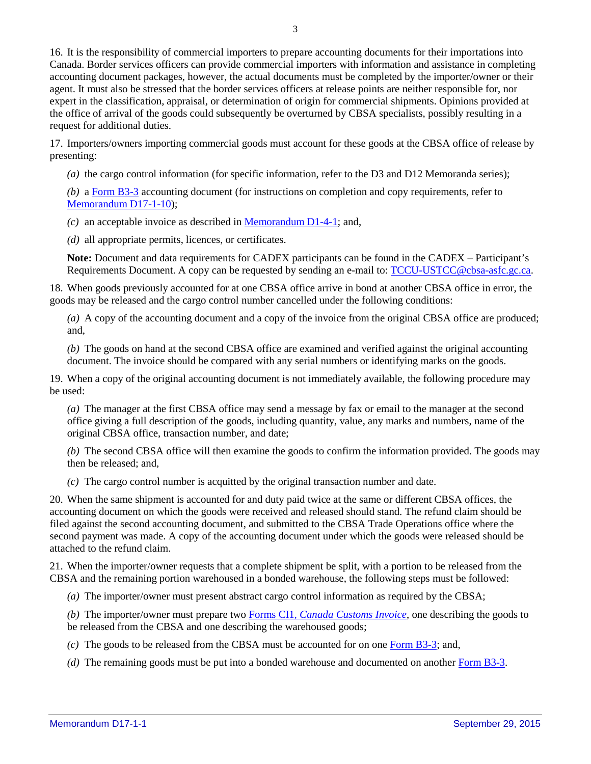16. It is the responsibility of commercial importers to prepare accounting documents for their importations into Canada. Border services officers can provide commercial importers with information and assistance in completing accounting document packages, however, the actual documents must be completed by the importer/owner or their agent. It must also be stressed that the border services officers at release points are neither responsible for, nor expert in the classification, appraisal, or determination of origin for commercial shipments. Opinions provided at the office of arrival of the goods could subsequently be overturned by CBSA specialists, possibly resulting in a request for additional duties.

17. Importers/owners importing commercial goods must account for these goods at the CBSA office of release by presenting:

*(a)* the cargo control information (for specific information, refer to the D3 and D12 Memoranda series);

*(b)* a [Form](http://www.cbsa-asfc.gc.ca/publications/forms-formulaires/b3-3-eng.html) B3-3 accounting document (for instructions on completion and copy requirements, refer to [Memorandum](http://www.cbsa.gc.ca/publications/dm-md/d17/d17-1-10-eng.html) D17-1-10);

*(c)* an acceptable invoice as described in [Memorandum](http://www.cbsa.gc.ca/publications/dm-md/d1/d1-4-1-eng.html) D1-4-1; and,

*(d)* all appropriate permits, licences, or certificates.

**Note:** Document and data requirements for CADEX participants can be found in the CADEX – Participant's Requirements Document. A copy can be requested by sending an e-mail to: [TCCU-USTCC@cbsa-asfc.gc.ca.](mailto:TCCU-USTCC@cbsa-asfc.gc.ca)

18. When goods previously accounted for at one CBSA office arrive in bond at another CBSA office in error, the goods may be released and the cargo control number cancelled under the following conditions:

*(a)* A copy of the accounting document and a copy of the invoice from the original CBSA office are produced; and,

*(b)* The goods on hand at the second CBSA office are examined and verified against the original accounting document. The invoice should be compared with any serial numbers or identifying marks on the goods.

19. When a copy of the original accounting document is not immediately available, the following procedure may be used:

*(a)* The manager at the first CBSA office may send a message by fax or email to the manager at the second office giving a full description of the goods, including quantity, value, any marks and numbers, name of the original CBSA office, transaction number, and date;

*(b)* The second CBSA office will then examine the goods to confirm the information provided. The goods may then be released; and,

*(c)* The cargo control number is acquitted by the original transaction number and date.

20. When the same shipment is accounted for and duty paid twice at the same or different CBSA offices, the accounting document on which the goods were received and released should stand. The refund claim should be filed against the second accounting document, and submitted to the CBSA Trade Operations office where the second payment was made. A copy of the accounting document under which the goods were released should be attached to the refund claim.

21. When the importer/owner requests that a complete shipment be split, with a portion to be released from the CBSA and the remaining portion warehoused in a bonded warehouse, the following steps must be followed:

*(a)* The importer/owner must present abstract cargo control information as required by the CBSA;

*(b)* The importer/owner must prepare two Forms CI1, *Canada [Customs](http://www.cbsa-asfc.gc.ca/publications/forms-formulaires/ci1-eng.html) Invoice*, one describing the goods to be released from the CBSA and one describing the warehoused goods;

*(c)* The goods to be released from the CBSA must be accounted for on one Form [B3-3;](http://www.cbsa-asfc.gc.ca/publications/forms-formulaires/b3-3-eng.html) and,

*(d)* The remaining goods must be put into a bonded warehouse and documented on another Form [B3-3.](http://www.cbsa-asfc.gc.ca/publications/forms-formulaires/b3-3-eng.html)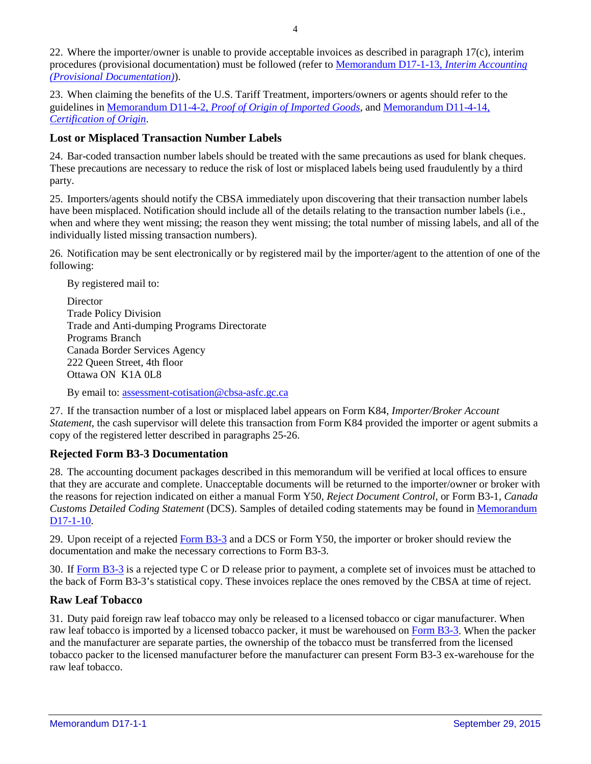22. Where the importer/owner is unable to provide acceptable invoices as described in paragraph 17(c), interim procedures (provisional documentation) must be followed (refer to [Memorandum](http://www.cbsa.gc.ca/publications/dm-md/d17/d17-1-13-eng.html) D17-1-13, *Interim Accounting (Provisional [Documentation\)](http://www.cbsa.gc.ca/publications/dm-md/d17/d17-1-13-eng.html)*).

23. When claiming the benefits of the U.S. Tariff Treatment, importers/owners or agents should refer to the guidelines in Memorandum D11-4-2, *Proof of [Origin of Imported Goods](http://www.cbsa.gc.ca/publications/dm-md/d11/d11-4-2-eng.html)*, and [Memorandum](http://www.cbsa.gc.ca/publications/dm-md/d11/d11-4-14-eng.html) D11-4-14, *[Certification](http://www.cbsa.gc.ca/publications/dm-md/d11/d11-4-14-eng.html) of Origin*.

# **Lost or Misplaced Transaction Number Labels**

24. Bar-coded transaction number labels should be treated with the same precautions as used for blank cheques. These precautions are necessary to reduce the risk of lost or misplaced labels being used fraudulently by a third party.

25. Importers/agents should notify the CBSA immediately upon discovering that their transaction number labels have been misplaced. Notification should include all of the details relating to the transaction number labels (i.e., when and where they went missing; the reason they went missing; the total number of missing labels, and all of the individually listed missing transaction numbers).

26. Notification may be sent electronically or by registered mail by the importer/agent to the attention of one of the following:

By registered mail to:

**Director** Trade Policy Division Trade and Anti-dumping Programs Directorate Programs Branch Canada Border Services Agency 222 Queen Street, 4th floor Ottawa ON K1A 0L8

By email to: [assessment-cotisation@cbsa-asfc.gc.ca](mailto:assessment-cotisation@cbsa-asfc.gc.ca)

27. If the transaction number of a lost or misplaced label appears on Form K84, *Importer/Broker Account Statement*, the cash supervisor will delete this transaction from Form K84 provided the importer or agent submits a copy of the registered letter described in paragraphs 25-26.

# **Rejected Form B3-3 Documentation**

28. The accounting document packages described in this memorandum will be verified at local offices to ensure that they are accurate and complete. Unacceptable documents will be returned to the importer/owner or broker with the reasons for rejection indicated on either a manual Form Y50, *Reject Document Control*, or Form B3-1, *Canada Customs Detailed Coding Statement* (DCS). Samples of detailed coding statements may be found in [Memorandum](http://www.cbsa.gc.ca/publications/dm-md/d17/d17-1-10-eng.html) [D17-1-10.](http://www.cbsa.gc.ca/publications/dm-md/d17/d17-1-10-eng.html)

29. Upon receipt of a rejected [Form](http://www.cbsa-asfc.gc.ca/publications/forms-formulaires/b3-3-eng.html) B3-3 and a DCS or Form Y50, the importer or broker should review the documentation and make the necessary corrections to Form B3-3.

30. If [Form](http://www.cbsa-asfc.gc.ca/publications/forms-formulaires/b3-3-eng.html) B3-3 is a rejected type C or D release prior to payment, a complete set of invoices must be attached to the back of Form B3-3's statistical copy. These invoices replace the ones removed by the CBSA at time of reject.

# **Raw Leaf Tobacco**

31. Duty paid foreign raw leaf tobacco may only be released to a licensed tobacco or cigar manufacturer. When raw leaf tobacco is imported by a licensed tobacco packer, it must be warehoused on Form [B3-3.](http://www.cbsa-asfc.gc.ca/publications/forms-formulaires/b3-3-eng.html) When the packer and the manufacturer are separate parties, the ownership of the tobacco must be transferred from the licensed tobacco packer to the licensed manufacturer before the manufacturer can present Form B3-3 ex-warehouse for the raw leaf tobacco.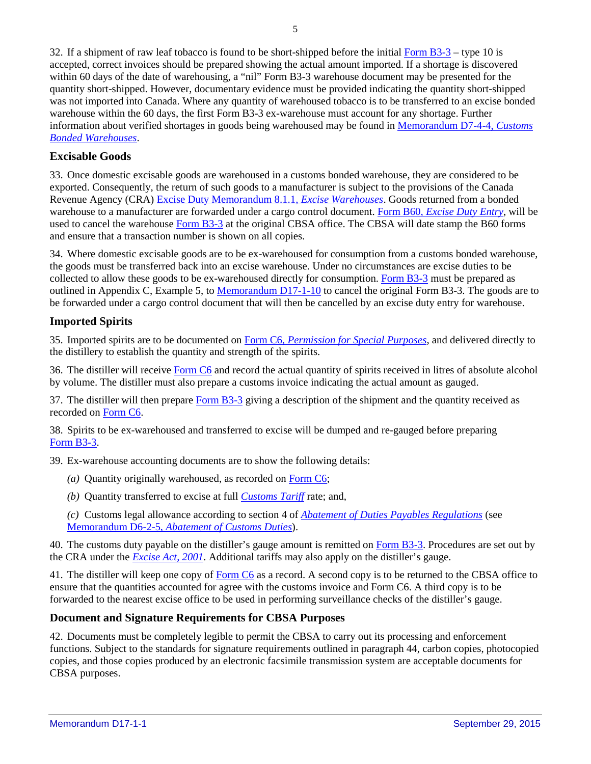32. If a shipment of raw leaf tobacco is found to be short-shipped before the initial [Form](http://www.cbsa-asfc.gc.ca/publications/forms-formulaires/b3-3-eng.html)  $B3-3$  – type 10 is accepted, correct invoices should be prepared showing the actual amount imported. If a shortage is discovered within 60 days of the date of warehousing, a "nil" Form B3-3 warehouse document may be presented for the quantity short-shipped. However, documentary evidence must be provided indicating the quantity short-shipped was not imported into Canada. Where any quantity of warehoused tobacco is to be transferred to an excise bonded warehouse within the 60 days, the first Form B3-3 ex-warehouse must account for any shortage. Further information about verified shortages in goods being warehoused may be found in [Memorandum](http://www.cbsa.gc.ca/publications/dm-md/d7/d7-4-4-eng.html) D7-4-4, *Customs Bonded [Warehouses](http://www.cbsa.gc.ca/publications/dm-md/d7/d7-4-4-eng.html)*.

# **Excisable Goods**

33. Once domestic excisable goods are warehoused in a customs bonded warehouse, they are considered to be exported. Consequently, the return of such goods to a manufacturer is subject to the provisions of the Canada Revenue Agency (CRA) Excise Duty [Memorandum](http://www.cra-arc.gc.ca/E/pub/em/edm8-1-1/README.html) 8.1.1, *Excise Warehouses*. Goods returned from a bonded warehouse to a manufacturer are forwarded under a cargo control document. Form B60, *[Excise](http://www.cra-arc.gc.ca/E/pbg/ef/b60/) Duty Entry*, will be used to cancel the warehouse [Form](http://www.cbsa-asfc.gc.ca/publications/forms-formulaires/b3-3-eng.html) B3-3 at the original CBSA office. The CBSA will date stamp the B60 forms and ensure that a transaction number is shown on all copies.

34. Where domestic excisable goods are to be ex-warehoused for consumption from a customs bonded warehouse, the goods must be transferred back into an excise warehouse. Under no circumstances are excise duties to be collected to allow these goods to be ex-warehoused directly for consumption. [Form](http://www.cbsa-asfc.gc.ca/publications/forms-formulaires/b3-3-eng.html) B3-3 must be prepared as outlined in Appendix C, Example 5, to [Memorandum](http://www.cbsa.gc.ca/publications/dm-md/d17/d17-1-10-eng.html) D17-1-10 to cancel the original Form B3-3. The goods are to be forwarded under a cargo control document that will then be cancelled by an excise duty entry for warehouse.

# **Imported Spirits**

35. Imported spirits are to be documented on Form C6, *[Permission](http://www.cbsa-asfc.gc.ca/publications/forms-formulaires/c6-eng.html) for Special Purposes*, and delivered directly to the distillery to establish the quantity and strength of the spirits.

36. The distiller will receive [Form](http://www.cbsa-asfc.gc.ca/publications/forms-formulaires/c6-eng.html) C6 and record the actual quantity of spirits received in litres of absolute alcohol by volume. The distiller must also prepare a customs invoice indicating the actual amount as gauged.

37. The distiller will then prepare [Form](http://www.cbsa-asfc.gc.ca/publications/forms-formulaires/b3-3-eng.html) B3-3 giving a description of the shipment and the quantity received as recorded on [Form](http://www.cbsa-asfc.gc.ca/publications/forms-formulaires/c6-eng.html) C6.

38. Spirits to be ex-warehoused and transferred to excise will be dumped and re-gauged before preparing [Form](http://www.cbsa-asfc.gc.ca/publications/forms-formulaires/b3-3-eng.html) B3-3.

39. Ex-warehouse accounting documents are to show the following details:

- *(a)* Quantity originally warehoused, as recorded on [Form](http://www.cbsa-asfc.gc.ca/publications/forms-formulaires/c6-eng.html) C6;
- *(b)* Quantity transferred to excise at full *[Customs](http://www.cbsa-asfc.gc.ca/trade-commerce/tariff-tarif/menu-eng.html) Tariff* rate; and,

*(c)* Customs legal allowance according to section 4 of *Abatement of Duties Payables [Regulations](http://laws-lois.justice.gc.ca/eng/regulations/SOR-86-946/page-1.html)* (see [Memorandum](http://www.cbsa.gc.ca/publications/dm-md/d6/d6-2-5-eng.html) D6-2-5, *Abatement of Customs Duties*).

40. The customs duty payable on the distiller's gauge amount is remitted on Form [B3-3.](http://www.cbsa-asfc.gc.ca/publications/forms-formulaires/b3-3-eng.html) Procedures are set out by the CRA under the *[Excise](http://laws-lois.justice.gc.ca/eng/acts/E-14.1) Act, 2001*. Additional tariffs may also apply on the distiller's gauge.

41. The distiller will keep one copy of [Form](http://www.cbsa-asfc.gc.ca/publications/forms-formulaires/c6-eng.html) C6 as a record. A second copy is to be returned to the CBSA office to ensure that the quantities accounted for agree with the customs invoice and Form C6. A third copy is to be forwarded to the nearest excise office to be used in performing surveillance checks of the distiller's gauge.

#### **Document and Signature Requirements for CBSA Purposes**

42. Documents must be completely legible to permit the CBSA to carry out its processing and enforcement functions. Subject to the standards for signature requirements outlined in paragraph 44, carbon copies, photocopied copies, and those copies produced by an electronic facsimile transmission system are acceptable documents for CBSA purposes.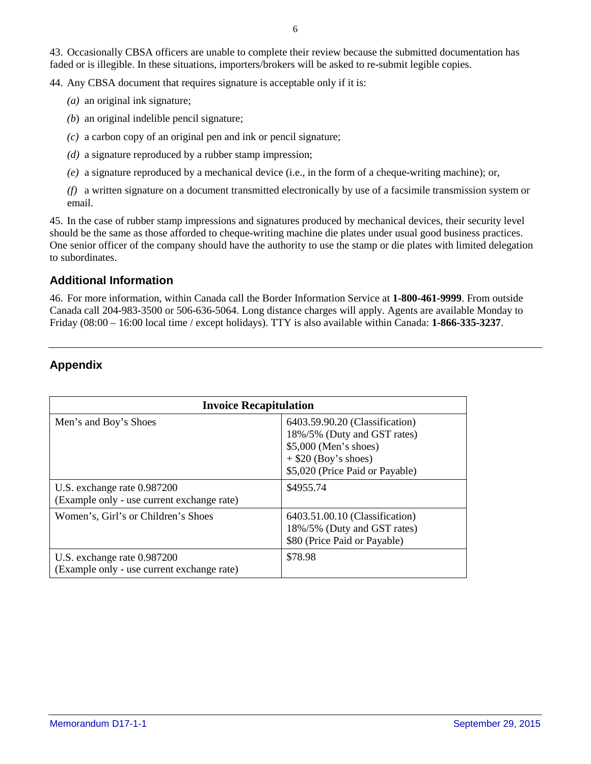43. Occasionally CBSA officers are unable to complete their review because the submitted documentation has faded or is illegible. In these situations, importers/brokers will be asked to re-submit legible copies.

44. Any CBSA document that requires signature is acceptable only if it is:

- *(a)* an original ink signature;
- *(b*) an original indelible pencil signature;
- *(c)* a carbon copy of an original pen and ink or pencil signature;
- *(d)* a signature reproduced by a rubber stamp impression;
- *(e)* a signature reproduced by a mechanical device (i.e., in the form of a cheque-writing machine); or,
- *(f)* a written signature on a document transmitted electronically by use of a facsimile transmission system or email.

45. In the case of rubber stamp impressions and signatures produced by mechanical devices, their security level should be the same as those afforded to cheque-writing machine die plates under usual good business practices. One senior officer of the company should have the authority to use the stamp or die plates with limited delegation to subordinates.

# **Additional Information**

46. For more information, within Canada call the Border Information Service at **1-800-461-9999**. From outside Canada call 204-983-3500 or 506-636-5064. Long distance charges will apply. Agents are available Monday to Friday (08:00 – 16:00 local time / except holidays). TTY is also available within Canada: **1-866-335-3237**.

# **Appendix**

| <b>Invoice Recapitulation</b>                                             |                                                                                                                                                     |
|---------------------------------------------------------------------------|-----------------------------------------------------------------------------------------------------------------------------------------------------|
| Men's and Boy's Shoes                                                     | 6403.59.90.20 (Classification)<br>18%/5% (Duty and GST rates)<br>\$5,000 (Men's shoes)<br>$+$ \$20 (Boy's shoes)<br>\$5,020 (Price Paid or Payable) |
| U.S. exchange rate 0.987200<br>(Example only - use current exchange rate) | \$4955.74                                                                                                                                           |
| Women's, Girl's or Children's Shoes                                       | 6403.51.00.10 (Classification)<br>18%/5% (Duty and GST rates)<br>\$80 (Price Paid or Payable)                                                       |
| U.S. exchange rate 0.987200<br>(Example only - use current exchange rate) | \$78.98                                                                                                                                             |